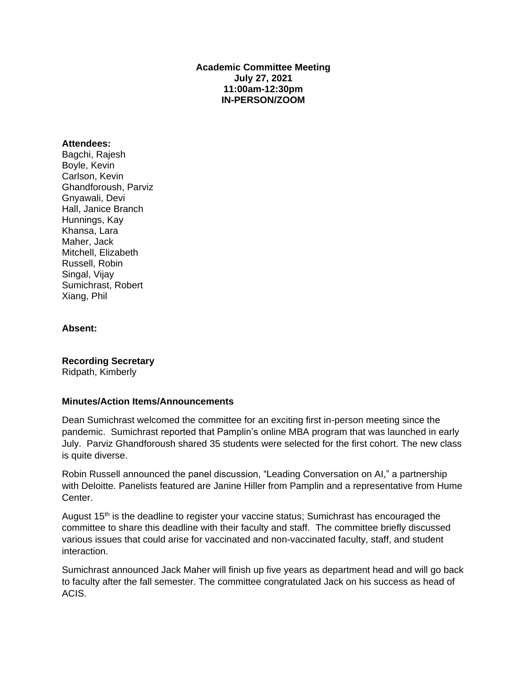### **Academic Committee Meeting July 27, 2021 11:00am-12:30pm IN-PERSON/ZOOM**

#### **Attendees:**

Bagchi, Rajesh Boyle, Kevin Carlson, Kevin Ghandforoush, Parviz Gnyawali, Devi Hall, Janice Branch Hunnings, Kay Khansa, Lara Maher, Jack Mitchell, Elizabeth Russell, Robin Singal, Vijay Sumichrast, Robert Xiang, Phil

#### **Absent:**

**Recording Secretary** Ridpath, Kimberly

#### **Minutes/Action Items/Announcements**

Dean Sumichrast welcomed the committee for an exciting first in-person meeting since the pandemic. Sumichrast reported that Pamplin's online MBA program that was launched in early July. Parviz Ghandforoush shared 35 students were selected for the first cohort. The new class is quite diverse.

Robin Russell announced the panel discussion, "Leading Conversation on AI," a partnership with Deloitte. Panelists featured are Janine Hiller from Pamplin and a representative from Hume Center.

August 15th is the deadline to register your vaccine status; Sumichrast has encouraged the committee to share this deadline with their faculty and staff. The committee briefly discussed various issues that could arise for vaccinated and non-vaccinated faculty, staff, and student interaction.

Sumichrast announced Jack Maher will finish up five years as department head and will go back to faculty after the fall semester. The committee congratulated Jack on his success as head of ACIS.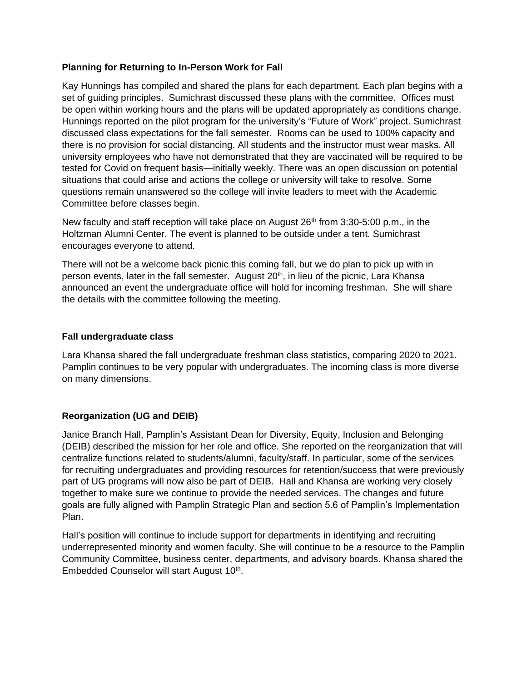### **Planning for Returning to In-Person Work for Fall**

Kay Hunnings has compiled and shared the plans for each department. Each plan begins with a set of guiding principles. Sumichrast discussed these plans with the committee. Offices must be open within working hours and the plans will be updated appropriately as conditions change. Hunnings reported on the pilot program for the university's "Future of Work" project. Sumichrast discussed class expectations for the fall semester. Rooms can be used to 100% capacity and there is no provision for social distancing. All students and the instructor must wear masks. All university employees who have not demonstrated that they are vaccinated will be required to be tested for Covid on frequent basis—initially weekly. There was an open discussion on potential situations that could arise and actions the college or university will take to resolve. Some questions remain unanswered so the college will invite leaders to meet with the Academic Committee before classes begin.

New faculty and staff reception will take place on August  $26<sup>th</sup>$  from 3:30-5:00 p.m., in the Holtzman Alumni Center. The event is planned to be outside under a tent. Sumichrast encourages everyone to attend.

There will not be a welcome back picnic this coming fall, but we do plan to pick up with in person events, later in the fall semester. August 20<sup>th</sup>, in lieu of the picnic, Lara Khansa announced an event the undergraduate office will hold for incoming freshman. She will share the details with the committee following the meeting.

### **Fall undergraduate class**

Lara Khansa shared the fall undergraduate freshman class statistics, comparing 2020 to 2021. Pamplin continues to be very popular with undergraduates. The incoming class is more diverse on many dimensions.

### **Reorganization (UG and DEIB)**

Janice Branch Hall, Pamplin's Assistant Dean for Diversity, Equity, Inclusion and Belonging (DEIB) described the mission for her role and office. She reported on the reorganization that will centralize functions related to students/alumni, faculty/staff. In particular, some of the services for recruiting undergraduates and providing resources for retention/success that were previously part of UG programs will now also be part of DEIB. Hall and Khansa are working very closely together to make sure we continue to provide the needed services. The changes and future goals are fully aligned with Pamplin Strategic Plan and section 5.6 of Pamplin's Implementation Plan.

Hall's position will continue to include support for departments in identifying and recruiting underrepresented minority and women faculty. She will continue to be a resource to the Pamplin Community Committee, business center, departments, and advisory boards. Khansa shared the Embedded Counselor will start August 10<sup>th</sup>.